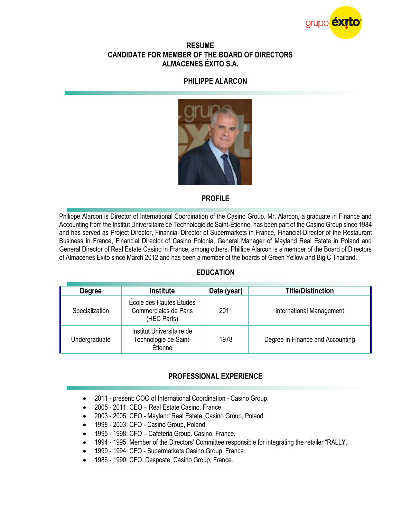

#### **RESUME CANDIDATE FOR MEMBER OF THE BOARD OF DIRECTORS ALMACENES ÉXITO S.A.**

### **PHILIPPE ALARCON**



### **PROFILE**

Philippe Alarcon is Director of International Coordination of the Casino Group. Mr. Alarcon, a graduate in Finance and Accounting from the Institut Universitaire de Technologie de Saint-Étienne, has been part of the Casino Group since 1984 and has served as Project Director, Financial Director of Supermarkets in France, Financial Director of the Restaurant Business in France, Financial Director of Casino Polonia, General Manager of Mayland Real Estate in Poland and General Director of Real Estate Casino in France, among others. Phillipe Alarcon is a member of the Board of Directors of Almacenes Éxito since March 2012 and has been a member of the boards of Green Yellow and Big C Thailand.

## **EDUCATION**

| Degree         | <b>Institute</b>                                                | Date (year) | <b>Title/Distinction</b>         |
|----------------|-----------------------------------------------------------------|-------------|----------------------------------|
| Specialization | École des Hautes Études<br>Commerciales de Paris<br>(HEC París) | 2011        | International Management         |
| Undergraduate  | Institut Universitaire de<br>Technologie de Saint-<br>Étienne   | 1978        | Degree in Finance and Accounting |

## **PROFESSIONAL EXPERIENCE**

- 2011 present: COO of International Coordination Casino Group.
- 2005 2011: CEO Real Estate Casino, France.
- 2003 2005: CEO Mayland Real Estate, Casino Group, Poland.
- 1998 2003: CFO Casino Group, Poland.
- 1995 1998: CFO Cafeteria Group. Casino, France.
- 1994 1995: Member of the Directors' Committee responsible for integrating the retailer "RALLY.
- 1990 1994: CFO Supermarkets Casino Group, France.
- 1986 1990: CFO, Desposte, Casino Group, France.